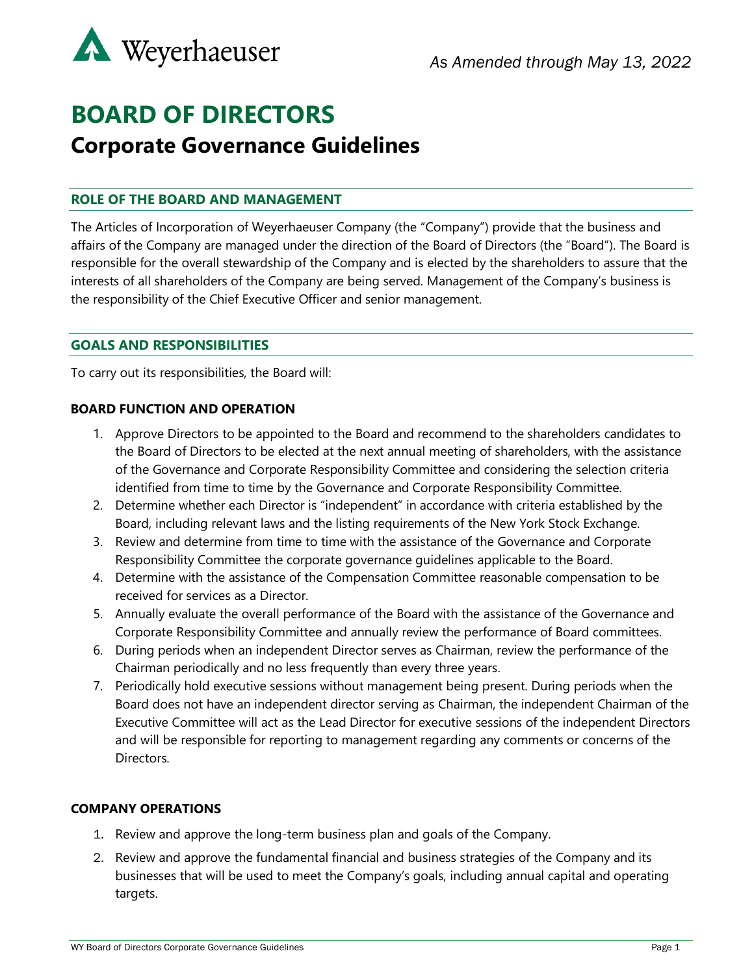

# **BOARD OF DIRECTORS Corporate Governance Guidelines**

## **ROLE OF THE BOARD AND MANAGEMENT**

The Articles of Incorporation of Weyerhaeuser Company (the "Company") provide that the business and affairs of the Company are managed under the direction of the Board of Directors (the "Board"). The Board is responsible for the overall stewardship of the Company and is elected by the shareholders to assure that the interests of all shareholders of the Company are being served. Management of the Company's business is the responsibility of the Chief Executive Officer and senior management.

## **GOALS AND RESPONSIBILITIES**

To carry out its responsibilities, the Board will:

### **BOARD FUNCTION AND OPERATION**

- 1. Approve Directors to be appointed to the Board and recommend to the shareholders candidates to the Board of Directors to be elected at the next annual meeting of shareholders, with the assistance of the Governance and Corporate Responsibility Committee and considering the selection criteria identified from time to time by the Governance and Corporate Responsibility Committee.
- 2. Determine whether each Director is "independent" in accordance with criteria established by the Board, including relevant laws and the listing requirements of the New York Stock Exchange.
- 3. Review and determine from time to time with the assistance of the Governance and Corporate Responsibility Committee the corporate governance guidelines applicable to the Board.
- 4. Determine with the assistance of the Compensation Committee reasonable compensation to be received for services as a Director.
- 5. Annually evaluate the overall performance of the Board with the assistance of the Governance and Corporate Responsibility Committee and annually review the performance of Board committees.
- 6. During periods when an independent Director serves as Chairman, review the performance of the Chairman periodically and no less frequently than every three years.
- 7. Periodically hold executive sessions without management being present. During periods when the Board does not have an independent director serving as Chairman, the independent Chairman of the Executive Committee will act as the Lead Director for executive sessions of the independent Directors and will be responsible for reporting to management regarding any comments or concerns of the Directors.

### **COMPANY OPERATIONS**

- 1. Review and approve the long-term business plan and goals of the Company.
- 2. Review and approve the fundamental financial and business strategies of the Company and its businesses that will be used to meet the Company's goals, including annual capital and operating targets.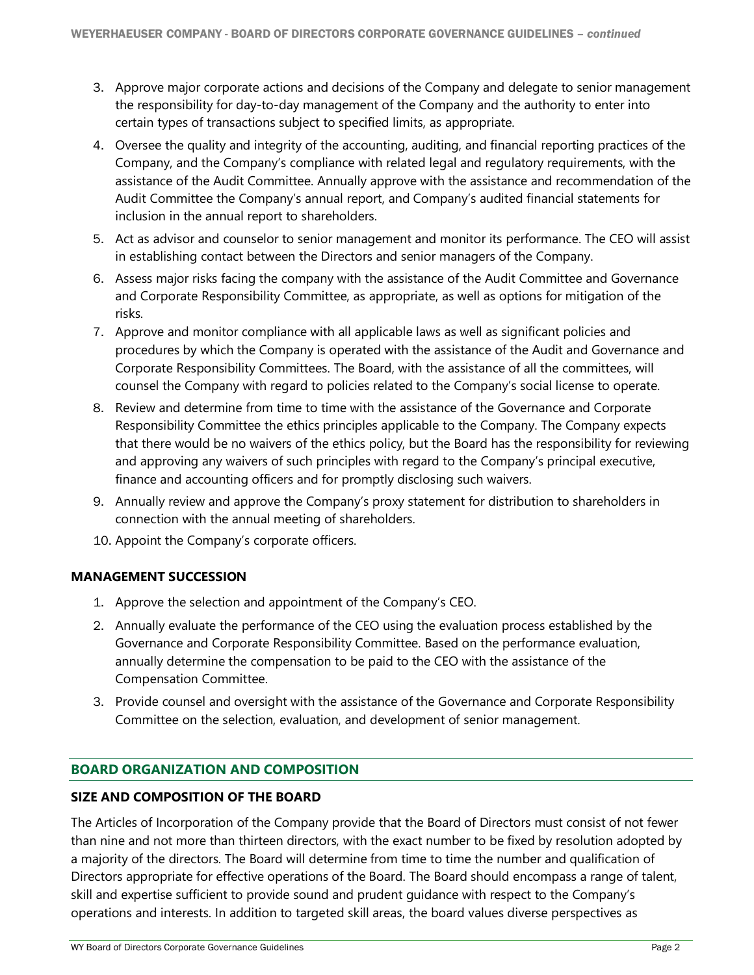- 3. Approve major corporate actions and decisions of the Company and delegate to senior management the responsibility for day-to-day management of the Company and the authority to enter into certain types of transactions subject to specified limits, as appropriate.
- 4. Oversee the quality and integrity of the accounting, auditing, and financial reporting practices of the Company, and the Company's compliance with related legal and regulatory requirements, with the assistance of the Audit Committee. Annually approve with the assistance and recommendation of the Audit Committee the Company's annual report, and Company's audited financial statements for inclusion in the annual report to shareholders.
- 5. Act as advisor and counselor to senior management and monitor its performance. The CEO will assist in establishing contact between the Directors and senior managers of the Company.
- 6. Assess major risks facing the company with the assistance of the Audit Committee and Governance and Corporate Responsibility Committee, as appropriate, as well as options for mitigation of the risks.
- 7. Approve and monitor compliance with all applicable laws as well as significant policies and procedures by which the Company is operated with the assistance of the Audit and Governance and Corporate Responsibility Committees. The Board, with the assistance of all the committees, will counsel the Company with regard to policies related to the Company's social license to operate.
- 8. Review and determine from time to time with the assistance of the Governance and Corporate Responsibility Committee the ethics principles applicable to the Company. The Company expects that there would be no waivers of the ethics policy, but the Board has the responsibility for reviewing and approving any waivers of such principles with regard to the Company's principal executive, finance and accounting officers and for promptly disclosing such waivers.
- 9. Annually review and approve the Company's proxy statement for distribution to shareholders in connection with the annual meeting of shareholders.
- 10. Appoint the Company's corporate officers.

# **MANAGEMENT SUCCESSION**

- 1. Approve the selection and appointment of the Company's CEO.
- 2. Annually evaluate the performance of the CEO using the evaluation process established by the Governance and Corporate Responsibility Committee. Based on the performance evaluation, annually determine the compensation to be paid to the CEO with the assistance of the Compensation Committee.
- 3. Provide counsel and oversight with the assistance of the Governance and Corporate Responsibility Committee on the selection, evaluation, and development of senior management.

# **BOARD ORGANIZATION AND COMPOSITION**

### **SIZE AND COMPOSITION OF THE BOARD**

The Articles of Incorporation of the Company provide that the Board of Directors must consist of not fewer than nine and not more than thirteen directors, with the exact number to be fixed by resolution adopted by a majority of the directors. The Board will determine from time to time the number and qualification of Directors appropriate for effective operations of the Board. The Board should encompass a range of talent, skill and expertise sufficient to provide sound and prudent guidance with respect to the Company's operations and interests. In addition to targeted skill areas, the board values diverse perspectives as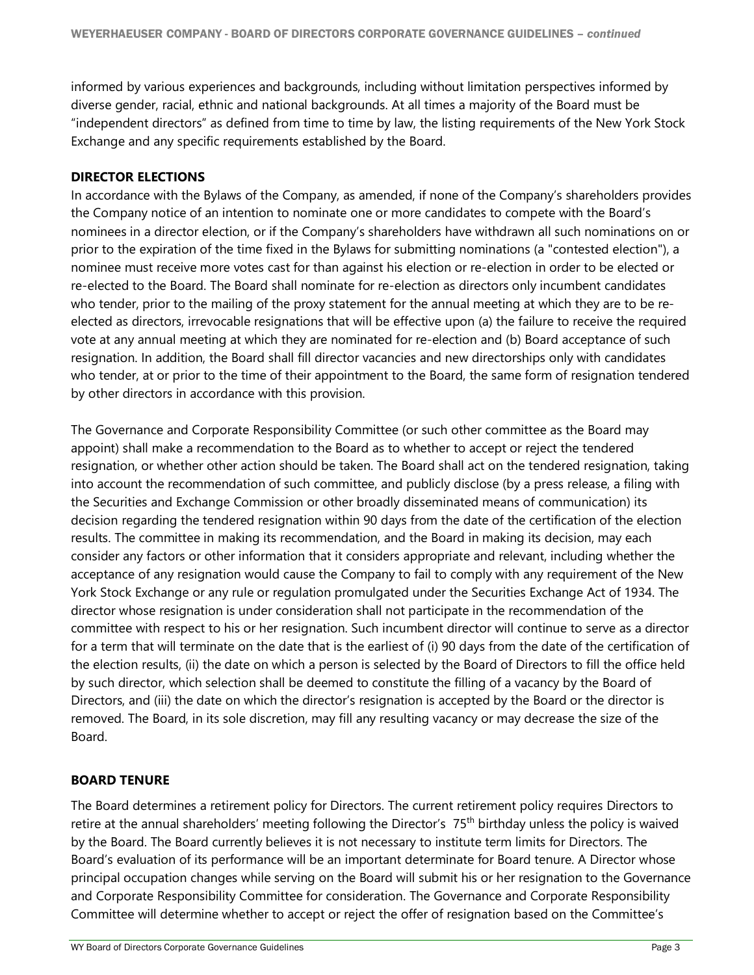informed by various experiences and backgrounds, including without limitation perspectives informed by diverse gender, racial, ethnic and national backgrounds. At all times a majority of the Board must be "independent directors" as defined from time to time by law, the listing requirements of the New York Stock Exchange and any specific requirements established by the Board.

#### **DIRECTOR ELECTIONS**

In accordance with the Bylaws of the Company, as amended, if none of the Company's shareholders provides the Company notice of an intention to nominate one or more candidates to compete with the Board's nominees in a director election, or if the Company's shareholders have withdrawn all such nominations on or prior to the expiration of the time fixed in the Bylaws for submitting nominations (a "contested election"), a nominee must receive more votes cast for than against his election or re-election in order to be elected or re-elected to the Board. The Board shall nominate for re-election as directors only incumbent candidates who tender, prior to the mailing of the proxy statement for the annual meeting at which they are to be reelected as directors, irrevocable resignations that will be effective upon (a) the failure to receive the required vote at any annual meeting at which they are nominated for re-election and (b) Board acceptance of such resignation. In addition, the Board shall fill director vacancies and new directorships only with candidates who tender, at or prior to the time of their appointment to the Board, the same form of resignation tendered by other directors in accordance with this provision.

The Governance and Corporate Responsibility Committee (or such other committee as the Board may appoint) shall make a recommendation to the Board as to whether to accept or reject the tendered resignation, or whether other action should be taken. The Board shall act on the tendered resignation, taking into account the recommendation of such committee, and publicly disclose (by a press release, a filing with the Securities and Exchange Commission or other broadly disseminated means of communication) its decision regarding the tendered resignation within 90 days from the date of the certification of the election results. The committee in making its recommendation, and the Board in making its decision, may each consider any factors or other information that it considers appropriate and relevant, including whether the acceptance of any resignation would cause the Company to fail to comply with any requirement of the New York Stock Exchange or any rule or regulation promulgated under the Securities Exchange Act of 1934. The director whose resignation is under consideration shall not participate in the recommendation of the committee with respect to his or her resignation. Such incumbent director will continue to serve as a director for a term that will terminate on the date that is the earliest of (i) 90 days from the date of the certification of the election results, (ii) the date on which a person is selected by the Board of Directors to fill the office held by such director, which selection shall be deemed to constitute the filling of a vacancy by the Board of Directors, and (iii) the date on which the director's resignation is accepted by the Board or the director is removed. The Board, in its sole discretion, may fill any resulting vacancy or may decrease the size of the Board.

### **BOARD TENURE**

The Board determines a retirement policy for Directors. The current retirement policy requires Directors to retire at the annual shareholders' meeting following the Director's 75<sup>th</sup> birthday unless the policy is waived by the Board. The Board currently believes it is not necessary to institute term limits for Directors. The Board's evaluation of its performance will be an important determinate for Board tenure. A Director whose principal occupation changes while serving on the Board will submit his or her resignation to the Governance and Corporate Responsibility Committee for consideration. The Governance and Corporate Responsibility Committee will determine whether to accept or reject the offer of resignation based on the Committee's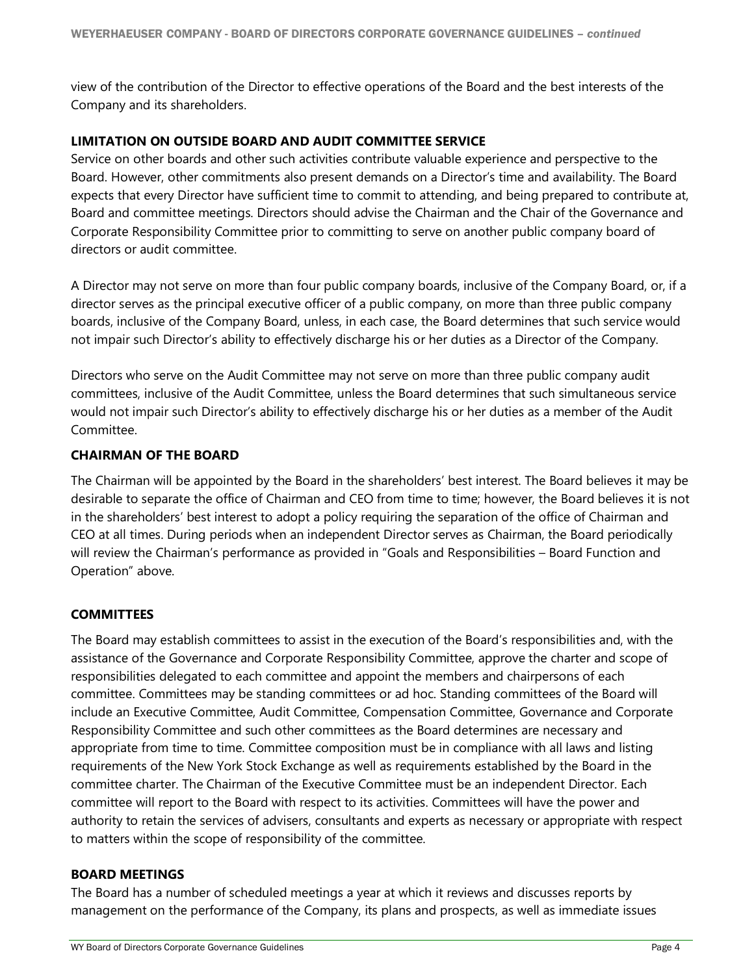view of the contribution of the Director to effective operations of the Board and the best interests of the Company and its shareholders.

## **LIMITATION ON OUTSIDE BOARD AND AUDIT COMMITTEE SERVICE**

Service on other boards and other such activities contribute valuable experience and perspective to the Board. However, other commitments also present demands on a Director's time and availability. The Board expects that every Director have sufficient time to commit to attending, and being prepared to contribute at, Board and committee meetings. Directors should advise the Chairman and the Chair of the Governance and Corporate Responsibility Committee prior to committing to serve on another public company board of directors or audit committee.

A Director may not serve on more than four public company boards, inclusive of the Company Board, or, if a director serves as the principal executive officer of a public company, on more than three public company boards, inclusive of the Company Board, unless, in each case, the Board determines that such service would not impair such Director's ability to effectively discharge his or her duties as a Director of the Company.

Directors who serve on the Audit Committee may not serve on more than three public company audit committees, inclusive of the Audit Committee, unless the Board determines that such simultaneous service would not impair such Director's ability to effectively discharge his or her duties as a member of the Audit Committee.

### **CHAIRMAN OF THE BOARD**

The Chairman will be appointed by the Board in the shareholders' best interest. The Board believes it may be desirable to separate the office of Chairman and CEO from time to time; however, the Board believes it is not in the shareholders' best interest to adopt a policy requiring the separation of the office of Chairman and CEO at all times. During periods when an independent Director serves as Chairman, the Board periodically will review the Chairman's performance as provided in "Goals and Responsibilities – Board Function and Operation" above.

### **COMMITTEES**

The Board may establish committees to assist in the execution of the Board's responsibilities and, with the assistance of the Governance and Corporate Responsibility Committee, approve the charter and scope of responsibilities delegated to each committee and appoint the members and chairpersons of each committee. Committees may be standing committees or ad hoc. Standing committees of the Board will include an Executive Committee, Audit Committee, Compensation Committee, Governance and Corporate Responsibility Committee and such other committees as the Board determines are necessary and appropriate from time to time. Committee composition must be in compliance with all laws and listing requirements of the New York Stock Exchange as well as requirements established by the Board in the committee charter. The Chairman of the Executive Committee must be an independent Director. Each committee will report to the Board with respect to its activities. Committees will have the power and authority to retain the services of advisers, consultants and experts as necessary or appropriate with respect to matters within the scope of responsibility of the committee.

### **BOARD MEETINGS**

The Board has a number of scheduled meetings a year at which it reviews and discusses reports by management on the performance of the Company, its plans and prospects, as well as immediate issues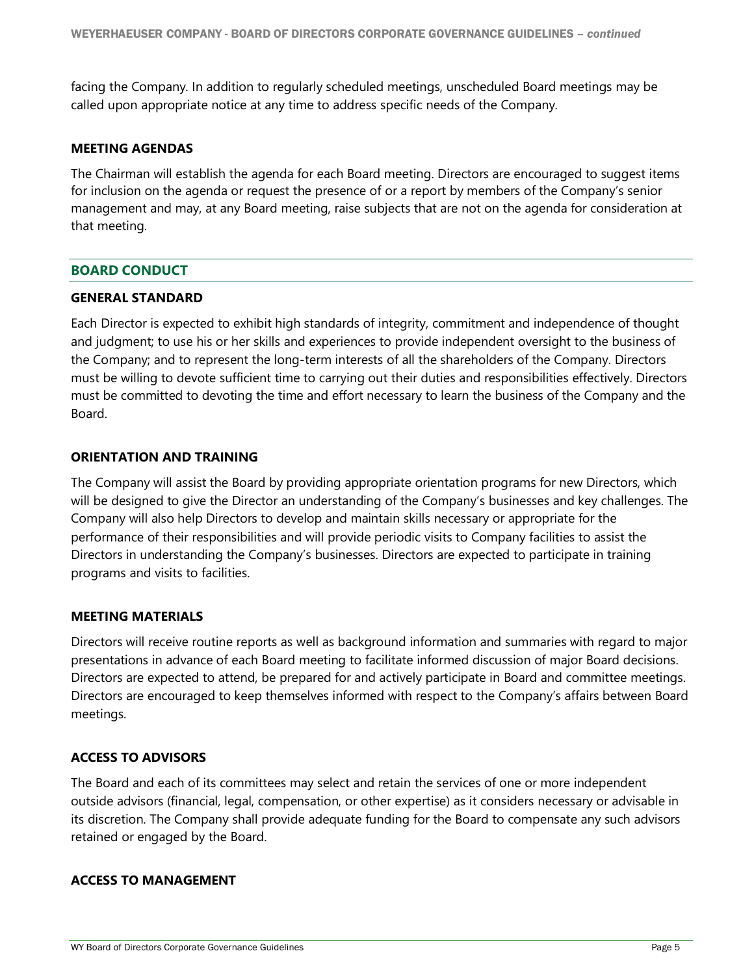facing the Company. In addition to regularly scheduled meetings, unscheduled Board meetings may be called upon appropriate notice at any time to address specific needs of the Company.

#### **MEETING AGENDAS**

The Chairman will establish the agenda for each Board meeting. Directors are encouraged to suggest items for inclusion on the agenda or request the presence of or a report by members of the Company's senior management and may, at any Board meeting, raise subjects that are not on the agenda for consideration at that meeting.

#### **BOARD CONDUCT**

#### **GENERAL STANDARD**

Each Director is expected to exhibit high standards of integrity, commitment and independence of thought and judgment; to use his or her skills and experiences to provide independent oversight to the business of the Company; and to represent the long-term interests of all the shareholders of the Company. Directors must be willing to devote sufficient time to carrying out their duties and responsibilities effectively. Directors must be committed to devoting the time and effort necessary to learn the business of the Company and the Board.

#### **ORIENTATION AND TRAINING**

The Company will assist the Board by providing appropriate orientation programs for new Directors, which will be designed to give the Director an understanding of the Company's businesses and key challenges. The Company will also help Directors to develop and maintain skills necessary or appropriate for the performance of their responsibilities and will provide periodic visits to Company facilities to assist the Directors in understanding the Company's businesses. Directors are expected to participate in training programs and visits to facilities.

#### **MEETING MATERIALS**

Directors will receive routine reports as well as background information and summaries with regard to major presentations in advance of each Board meeting to facilitate informed discussion of major Board decisions. Directors are expected to attend, be prepared for and actively participate in Board and committee meetings. Directors are encouraged to keep themselves informed with respect to the Company's affairs between Board meetings.

### **ACCESS TO ADVISORS**

The Board and each of its committees may select and retain the services of one or more independent outside advisors (financial, legal, compensation, or other expertise) as it considers necessary or advisable in its discretion. The Company shall provide adequate funding for the Board to compensate any such advisors retained or engaged by the Board.

#### **ACCESS TO MANAGEMENT**